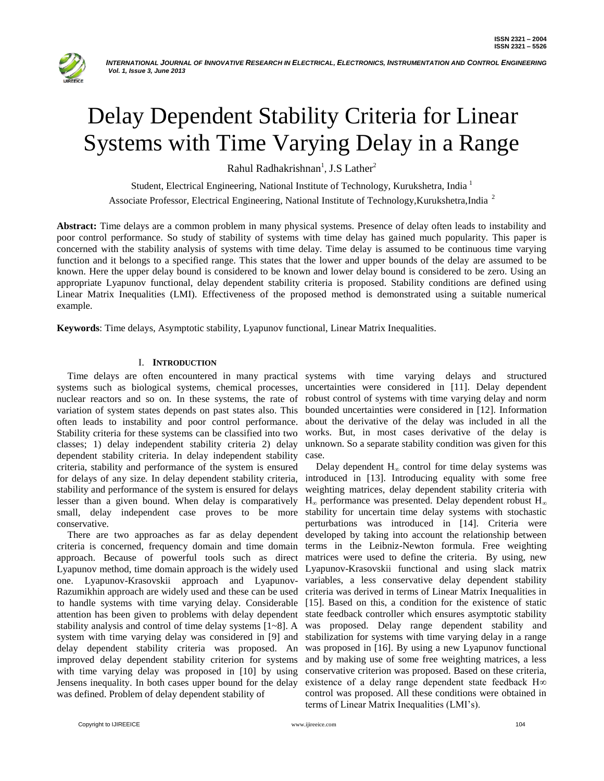

# Delay Dependent Stability Criteria for Linear Systems with Time Varying Delay in a Range

Rahul Radhakrishnan<sup>1</sup>, J.S Lather<sup>2</sup>

Student, Electrical Engineering, National Institute of Technology, Kurukshetra, India<sup>1</sup>

Associate Professor, Electrical Engineering, National Institute of Technology, Kurukshetra, India<sup>2</sup>

**Abstract:** Time delays are a common problem in many physical systems. Presence of delay often leads to instability and poor control performance. So study of stability of systems with time delay has gained much popularity. This paper is concerned with the stability analysis of systems with time delay. Time delay is assumed to be continuous time varying function and it belongs to a specified range. This states that the lower and upper bounds of the delay are assumed to be known. Here the upper delay bound is considered to be known and lower delay bound is considered to be zero. Using an appropriate Lyapunov functional, delay dependent stability criteria is proposed. Stability conditions are defined using Linear Matrix Inequalities (LMI). Effectiveness of the proposed method is demonstrated using a suitable numerical example.

**Keywords**: Time delays, Asymptotic stability, Lyapunov functional, Linear Matrix Inequalities.

## I. **INTRODUCTION**

systems such as biological systems, chemical processes, uncertainties were considered in [11]. Delay dependent nuclear reactors and so on. In these systems, the rate of robust control of systems with time varying delay and norm variation of system states depends on past states also. This often leads to instability and poor control performance. Stability criteria for these systems can be classified into two classes; 1) delay independent stability criteria 2) delay dependent stability criteria. In delay independent stability criteria, stability and performance of the system is ensured for delays of any size. In delay dependent stability criteria, stability and performance of the system is ensured for delays lesser than a given bound. When delay is comparatively small, delay independent case proves to be more conservative.

criteria is concerned, frequency domain and time domain approach. Because of powerful tools such as direct Lyapunov method, time domain approach is the widely used one. Lyapunov-Krasovskii approach and Lyapunov-Razumikhin approach are widely used and these can be used to handle systems with time varying delay. Considerable attention has been given to problems with delay dependent stability analysis and control of time delay systems [1~8]. A system with time varying delay was considered in [9] and delay dependent stability criteria was proposed. An improved delay dependent stability criterion for systems with time varying delay was proposed in [10] by using Jensens inequality. In both cases upper bound for the delay was defined. Problem of delay dependent stability of

Time delays are often encountered in many practical systems with time varying delays and structured bounded uncertainties were considered in [12]. Information about the derivative of the delay was included in all the works. But, in most cases derivative of the delay is unknown. So a separate stability condition was given for this case.

There are two approaches as far as delay dependent developed by taking into account the relationship between Delay dependent  $H_{\infty}$  control for time delay systems was introduced in [13]. Introducing equality with some free weighting matrices, delay dependent stability criteria with  $H_{\infty}$  performance was presented. Delay dependent robust  $H_{\infty}$ stability for uncertain time delay systems with stochastic perturbations was introduced in [14]. Criteria were terms in the Leibniz-Newton formula. Free weighting matrices were used to define the criteria. By using, new Lyapunov-Krasovskii functional and using slack matrix variables, a less conservative delay dependent stability criteria was derived in terms of Linear Matrix Inequalities in [15]. Based on this, a condition for the existence of static state feedback controller which ensures asymptotic stability was proposed. Delay range dependent stability and stabilization for systems with time varying delay in a range was proposed in [16]. By using a new Lyapunov functional and by making use of some free weighting matrices, a less conservative criterion was proposed. Based on these criteria, existence of a delay range dependent state feedback H∞ control was proposed. All these conditions were obtained in terms of Linear Matrix Inequalities (LMI's).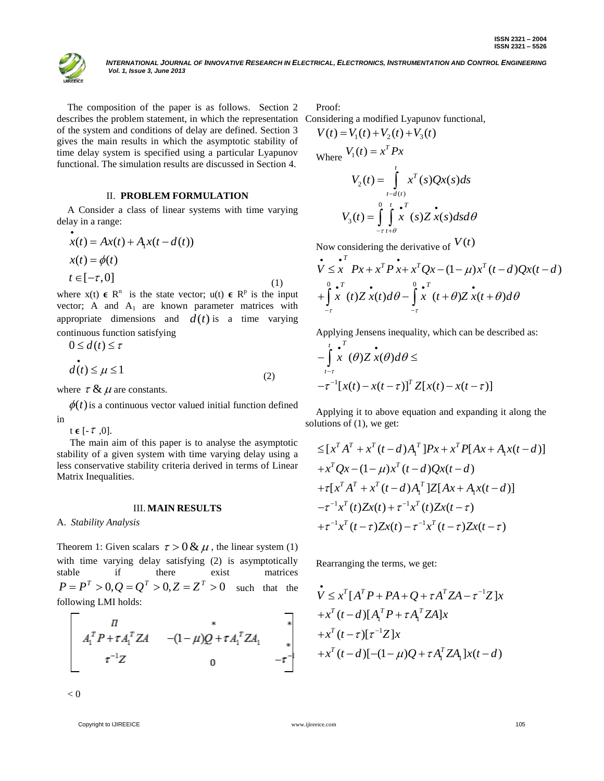INTERNATIONAL JOURNAL OF INNOVATIVE RESEARCH IN ELECTRICAL, ELECTRONICS, INSTRUMENTATION AND CONTROL ENGINEERING  *Vol. 1, Issue 3, June 2013*

The composition of the paper is as follows. Section 2 describes the problem statement, in which the representation of the system and conditions of delay are defined. Section 3 gives the main results in which the asymptotic stability of time delay system is specified using a particular Lyapunov functional. The simulation results are discussed in Section 4.

## II. **PROBLEM FORMULATION**

A Consider a class of linear systems with time varying delay in a range:

$$
\begin{aligned}\n\dot{x}(t) &= Ax(t) + A_1 x(t - d(t)) \\
x(t) &= \phi(t) \\
t \in [-\tau, 0]\n\end{aligned} \tag{1}
$$

where  $x(t) \in R^n$  is the state vector;  $u(t) \in R^p$  is the input vector; A and  $A_1$  are known parameter matrices with appropriate dimensions and  $d(t)$  is a time varying continuous function satisfying

$$
0 \le d(t) \le \tau
$$
  

$$
d(t) \le \mu \le 1
$$
 (2)

where  $\tau \& \mu$  are constants.

 $\phi(t)$  is a continuous vector valued initial function defined in

t  $\boldsymbol{\epsilon}$  [-  $\tau$  ,0].

The main aim of this paper is to analyse the asymptotic stability of a given system with time varying delay using a less conservative stability criteria derived in terms of Linear Matrix Inequalities.

#### III. **MAIN RESULTS**

A. *Stability Analysis*

Theorem 1: Given scalars  $\tau > 0 \& \mu$ , the linear system (1) with time varying delay satisfying (2) is asymptotically stable if there exist matrices  $P = P^T > 0, Q = Q^T > 0, Z = Z^T > 0$  such that the following LMI holds:

$$
\begin{vmatrix}\n\pi & * \\
A_1^T P + \tau A_1^T Z A & -(1 - \mu)Q + \tau A_1^T Z A_1 \\
\tau^{-1} Z & 0 & -\tau^{-1}\n\end{vmatrix}
$$

 $< 0$ 

Copyright to IJIREEICE **105 and 105** [www.ijireeice.com](http://www.ijireeice.com/) **105** www.ijireeice.com 105

Proof:

Considering a modified Lyapunov functional, 1 2 3 *V t V t V t V t* ( ) ( ) ( ) ( )

$$
V(t) = V_1(t) + V_2(t) + V_3(t)
$$
  
where 
$$
V_1(t) = x^T P x
$$

$$
V_2(t) = \int_{t-d(t)}^{t} x^T(s) Q x(s) ds
$$

$$
V_3(t) = \int_{-\tau}^{0} \int_{t+\theta}^{t} x^T(s) Z \dot{x}(s) ds d\theta
$$

Now considering the derivative of  $V(t)$ 

Now considering the derivative of 
$$
V(t)
$$
  
\n $\vec{V} \leq \vec{x} \quad Px + x^T \vec{P} \cdot \vec{x} + x^T Q x - (1 - \mu) x^T (t - d) Q x (t - d)$   
\n $+ \int_{-t}^{0} \vec{x} \quad (t) Z \, \vec{x}(t) d\theta - \int_{-t}^{0} \vec{x} \quad (t + \theta) Z \, \vec{x}(t + \theta) d\theta$ 

Applying Jensens inequality, which can be described as:

$$
\int_{t-\tau}^{t} \int_{-\tau}^{\tau} x^{T}(\theta) Z x(\theta) d\theta \le
$$
  

$$
-\tau^{-1} [x(t) - x(t-\tau)]^{T} Z[x(t) - x(t-\tau)]
$$

Applying it to above equation and expanding it along the solutions of (1), we get:

lutions of (1), we get:  
\n
$$
\leq [x^T A^T + x^T (t - d) A_1^T] P x + x^T P [A x + A_1 x(t - d)]
$$
\n
$$
+ x^T Q x - (1 - \mu) x^T (t - d) Q x(t - d)
$$
\n
$$
+ \tau [x^T A^T + x^T (t - d) A_1^T] Z [A x + A_1 x(t - d)]
$$
\n
$$
- \tau^{-1} x^T (t) Z x(t) + \tau^{-1} x^T (t) Z x(t - \tau)
$$
\n
$$
+ \tau^{-1} x^T (t - \tau) Z x(t) - \tau^{-1} x^T (t - \tau) Z x(t - \tau)
$$

Rearranging the terms, we get:

$$
\begin{aligned}\n\dot{\mathbf{v}} &\leq x^T [A^T P + PA + Q + \tau A^T Z A - \tau^{-1} Z] x \\
&+ x^T (t - d) [A_1^T P + \tau A_1^T Z A] x \\
&+ x^T (t - \tau) [\tau^{-1} Z] x \\
&+ x^T (t - d) [-(1 - \mu) Q + \tau A_1^T Z A_1] x (t - d)\n\end{aligned}
$$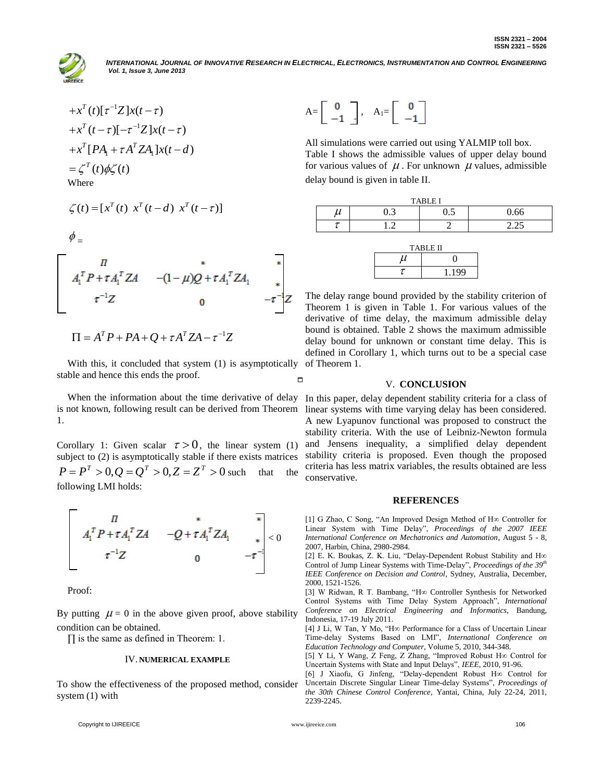

**INTERNATIONAL JOURNAL OF INNOVATIVE RESEARCH IN ELECTRICAL, ELECTRONICS, INSTRUMENTATION AND CONTROL ENGINEERING**  *Vol. 1, Issue 3, June 2013*

$$
+x^{T}(t)[\tau^{-1}Z]x(t-\tau)
$$
  
\n
$$
+x^{T}(t-\tau)[-\tau^{-1}Z]x(t-\tau)
$$
  
\n
$$
+x^{T}[PA_{1}+\tau A^{T}ZA_{1}]x(t-d)
$$
  
\n
$$
=\zeta^{T}(t)\phi\zeta(t)
$$
  
\nWhere

$$
\zeta(t) = [x^T(t) \ x^T(t-d) \ x^T(t-\tau)]
$$

 $\phi_{\perp}$ 

$$
\begin{bmatrix}\n\pi & * & * & * \\
A_1^T P + \tau A_1^T Z A & -(1 - \mu) Q + \tau A_1^T Z A_1 & * \\
\tau^{-1} Z & 0 & -\tau^{-1} Z\n\end{bmatrix}
$$
\n
$$
\Pi = A^T P + P A + Q + \tau A^T Z A - \tau^{-1} Z
$$

$$
\Pi = A^T P + P A + Q + \tau A^T Z A - \tau^{-1} Z
$$

With this, it concluded that system (1) is asymptotically stable and hence this ends the proof.  $\Box$ 

1.

Corollary 1: Given scalar  $\tau > 0$ , the linear system (1) subject to (2) is asymptotically stable if there exists matrices  $P = P^T > 0, Q = Q^T > 0, Z = Z^T > 0$  such that the following LMI holds:

< 0

Proof:

By putting  $\mu = 0$  in the above given proof, above stability condition can be obtained.

∏ is the same as defined in Theorem: 1.

### IV. **NUMERICAL EXAMPLE**

To show the effectiveness of the proposed method, consider system (1) with

$$
A = \begin{bmatrix} 0 \\ -1 \end{bmatrix}, A_1 = \begin{bmatrix} 0 \\ -1 \end{bmatrix}
$$

All simulations were carried out using YALMIP toll box. Table I shows the admissible values of upper delay bound for various values of  $\mu$ . For unknown  $\mu$  values, admissible delay bound is given in table II.

| <b>TARIEI</b> |          |     |           |  |
|---------------|----------|-----|-----------|--|
| ~             | ╭<br>v.J | ∪.∪ | 0.66      |  |
|               | ╭        |     | ت ساعد سه |  |

| <b>TABLE II</b> |       |  |  |
|-----------------|-------|--|--|
| u               |       |  |  |
|                 | 1 199 |  |  |

The delay range bound provided by the stability criterion of Theorem 1 is given in Table 1. For various values of the derivative of time delay, the maximum admissible delay bound is obtained. Table 2 shows the maximum admissible delay bound for unknown or constant time delay. This is defined in Corollary 1, which turns out to be a special case of Theorem 1.

#### V. **CONCLUSION**

When the information about the time derivative of delay In this paper, delay dependent stability criteria for a class of is not known, following result can be derived from Theorem linear systems with time varying delay has been considered. A new Lyapunov functional was proposed to construct the stability criteria. With the use of Leibniz-Newton formula and Jensens inequality, a simplified delay dependent stability criteria is proposed. Even though the proposed criteria has less matrix variables, the results obtained are less conservative.

#### **REFERENCES**

[1] G Zhao, C Song, "An Improved Design Method of H∞ Controller for Linear System with Time Delay", *Proceedings of the 2007 IEEE International Conference on Mechatronics and Automation*, August 5 - 8, 2007, Harbin, China, 2980-2984.

[2] E. K. Boukas, Z. K. Liu, "Delay-Dependent Robust Stability and H∞ Control of Jump Linear Systems with Time-Delay", *Proceedings of the 39th IEEE Conference on Decision and Control*, Sydney, Australia, December, 2000, 1521-1526.

[3] W Ridwan, R T. Bambang, "H∞ Controller Synthesis for Networked Control Systems with Time Delay System Approach", *International Conference on Electrical Engineering and Informatics*, Bandung, Indonesia, 17-19 July 2011.

[4] J Li, W Tan, Y Mo, "H∞ Performance for a Class of Uncertain Linear Time-delay Systems Based on LMI", *International Conference on Education Technology and Computer*, Volume 5, 2010, 344-348.

[5] Y Li, Y Wang, Z Feng, Z Zhang, "Improved Robust H∞ Control for Uncertain Systems with State and Input Delays", *IEEE*, 2010, 91-96.

[6] J Xiaofu, G Jinfeng, "Delay-dependent Robust H∞ Control for Uncertain Discrete Singular Linear Time-delay Systems", *Proceedings of the 30th Chinese Control Conference*, Yantai, China, July 22-24, 2011, 2239-2245.